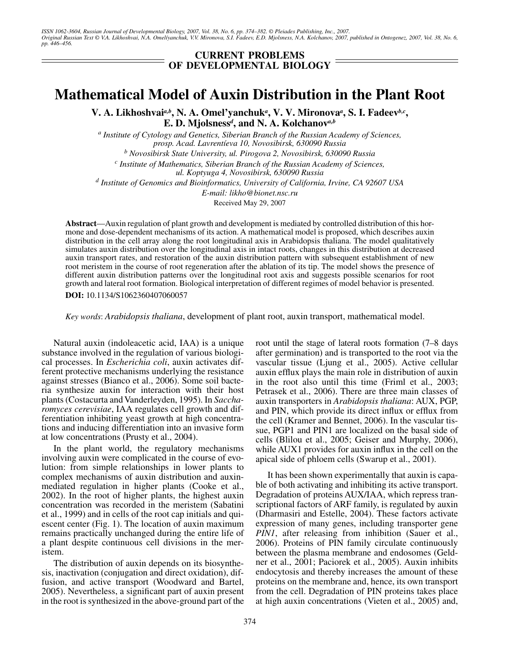# **CURRENT PROBLEMS OF DEVELOPMENTAL BIOLOGY**

# **Mathematical Model of Auxin Distribution in the Plant Root**

**V. A. Likhoshvai<sup>a,b</sup>, N. A. Omel'yanchuk<sup>a</sup>, V. V. Mironova<sup>a</sup>, S. I. Fadeev<sup>b,c</sup>, E. D. Mjolsness***<sup>d</sup>* **, and N. A. Kolchanov***a,b*

*a Institute of Cytology and Genetics, Siberian Branch of the Russian Academy of Sciences, prosp. Acad. Lavrentíeva 10, Novosibirsk, 630090 Russia b Novosibirsk State University, ul. Pirogova 2, Novosibirsk, 630090 Russia c Institute of Mathematics, Siberian Branch of the Russian Academy of Sciences, ul. Koptyuga 4, Novosibirsk, 630090 Russia d Institute of Genomics and Bioinformatics, University of California, Irvine, CA 92607 USA E-mail: likho@bionet.nsc.ru*

Received May 29, 2007

**Abstract**—Auxin regulation of plant growth and development is mediated by controlled distribution of this hormone and dose-dependent mechanisms of its action. A mathematical model is proposed, which describes auxin distribution in the cell array along the root longitudinal axis in Arabidopsis thaliana. The model qualitatively simulates auxin distribution over the longitudinal axis in intact roots, changes in this distribution at decreased auxin transport rates, and restoration of the auxin distribution pattern with subsequent establishment of new root meristem in the course of root regeneration after the ablation of its tip. The model shows the presence of different auxin distribution patterns over the longitudinal root axis and suggests possible scenarios for root growth and lateral root formation. Biological interpretation of different regimes of model behavior is presented.

**DOI:** 10.1134/S1062360407060057

*Key words*: *Arabidopsis thaliana*, development of plant root, auxin transport, mathematical model.

Natural auxin (indoleacetic acid, IAA) is a unique substance involved in the regulation of various biological processes. In *Escherichia coli*, auxin activates different protective mechanisms underlying the resistance against stresses (Bianco et al., 2006). Some soil bacteria synthesize auxin for interaction with their host plants (Costacurta and Vanderleyden, 1995). In *Saccharomyces cerevisiae*, IAA regulates cell growth and differentiation inhibiting yeast growth at high concentrations and inducing differentiation into an invasive form at low concentrations (Prusty et al., 2004).

In the plant world, the regulatory mechanisms involving auxin were complicated in the course of evolution: from simple relationships in lower plants to complex mechanisms of auxin distribution and auxinmediated regulation in higher plants (Cooke et al., 2002). In the root of higher plants, the highest auxin concentration was recorded in the meristem (Sabatini et al., 1999) and in cells of the root cap initials and quiescent center (Fig. 1). The location of auxin maximum remains practically unchanged during the entire life of a plant despite continuous cell divisions in the meristem.

The distribution of auxin depends on its biosynthesis, inactivation (conjugation and direct oxidation), diffusion, and active transport (Woodward and Bartel, 2005). Nevertheless, a significant part of auxin present in the root is synthesized in the above-ground part of the root until the stage of lateral roots formation (7–8 days after germination) and is transported to the root via the vascular tissue (Ljung et al., 2005). Active cellular auxin efflux plays the main role in distribution of auxin in the root also until this time (Friml et al., 2003; Petrasek et al., 2006). There are three main classes of auxin transporters in *Arabidopsis thaliana*: AUX, PGP, and PIN, which provide its direct influx or efflux from the cell (Kramer and Bennet, 2006). In the vascular tissue, PGP1 and PIN1 are localized on the basal side of cells (Blilou et al., 2005; Geiser and Murphy, 2006), while AUX1 provides for auxin influx in the cell on the apical side of phloem cells (Swarup et al., 2001).

It has been shown experimentally that auxin is capable of both activating and inhibiting its active transport. Degradation of proteins AUX/IAA, which repress transcriptional factors of ARF family, is regulated by auxin (Dharmasiri and Estelle, 2004). These factors activate expression of many genes, including transporter gene *PIN1*, after releasing from inhibition (Sauer et al., 2006). Proteins of PIN family circulate continuously between the plasma membrane and endosomes (Geldner et al., 2001; Paciorek et al., 2005). Auxin inhibits endocytosis and thereby increases the amount of these proteins on the membrane and, hence, its own transport from the cell. Degradation of PIN proteins takes place at high auxin concentrations (Vieten et al., 2005) and,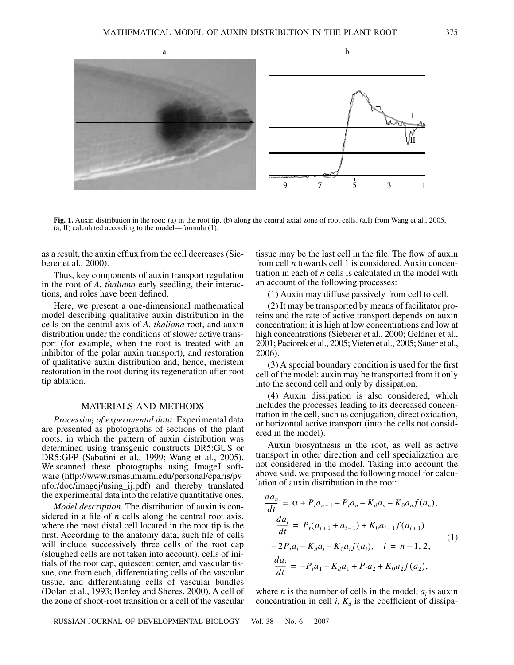

**Fig. 1.** Auxin distribution in the root: (a) in the root tip, (b) along the central axial zone of root cells. (a,I) from Wang et al., 2005, (a, II) calculated according to the model—formula (1).

as a result, the auxin efflux from the cell decreases (Sieberer et al., 2000).

Thus, key components of auxin transport regulation in the root of *A. thaliana* early seedling, their interactions, and roles have been defined.

Here, we present a one-dimensional mathematical model describing qualitative auxin distribution in the cells on the central axis of *A. thaliana* root, and auxin distribution under the conditions of slower active transport (for example, when the root is treated with an inhibitor of the polar auxin transport), and restoration of qualitative auxin distribution and, hence, meristem restoration in the root during its regeneration after root tip ablation.

### MATERIALS AND METHODS

*Processing of experimental data.* Experimental data are presented as photographs of sections of the plant roots, in which the pattern of auxin distribution was determined using transgenic constructs DR5:GUS or DR5:GFP (Sabatini et al., 1999; Wang et al., 2005). We scanned these photographs using ImageJ software (http://www.rsmas.miami.edu/personal/cparis/pv nfor/doc/imagej/using\_ij.pdf) and thereby translated the experimental data into the relative quantitative ones.

*Model description.* The distribution of auxin is considered in a file of *n* cells along the central root axis, where the most distal cell located in the root tip is the first. According to the anatomy data, such file of cells will include successively three cells of the root cap (sloughed cells are not taken into account), cells of initials of the root cap, quiescent center, and vascular tissue, one from each, differentiating cells of the vascular tissue, and differentiating cells of vascular bundles (Dolan et al., 1993; Benfey and Sheres, 2000). A cell of the zone of shoot-root transition or a cell of the vascular tissue may be the last cell in the file. The flow of auxin from cell *n* towards cell 1 is considered. Auxin concentration in each of *n* cells is calculated in the model with an account of the following processes:

(1) Auxin may diffuse passively from cell to cell.

(2) It may be transported by means of facilitator proteins and the rate of active transport depends on auxin concentration: it is high at low concentrations and low at high concentrations (Sieberer et al., 2000; Geldner et al., 2001; Paciorek et al., 2005; Vieten et al., 2005; Sauer et al., 2006).

(3) A special boundary condition is used for the first cell of the model: auxin may be transported from it only into the second cell and only by dissipation.

(4) Auxin dissipation is also considered, which includes the processes leading to its decreased concentration in the cell, such as conjugation, direct oxidation, or horizontal active transport (into the cells not considered in the model).

Auxin biosynthesis in the root, as well as active transport in other direction and cell specialization are not considered in the model. Taking into account the above said, we proposed the following model for calculation of auxin distribution in the root:

$$
\frac{da_n}{dt} = \alpha + P_t a_{n-1} - P_t a_n - K_d a_n - K_0 a_n f(a_n),
$$
  
\n
$$
\frac{da_i}{dt} = P_t (a_{i+1} + a_{i-1}) + K_0 a_{i+1} f(a_{i+1})
$$
  
\n
$$
-2P_t a_i - K_d a_i - K_0 a_i f(a_i), \quad i = n-1, 2,
$$
  
\n
$$
\frac{da_i}{dt} = -P_t a_1 - K_d a_1 + P_t a_2 + K_0 a_2 f(a_2),
$$
\n(1)

where *n* is the number of cells in the model,  $a_i$  is auxin concentration in cell *i*,  $K_d$  is the coefficient of dissipa-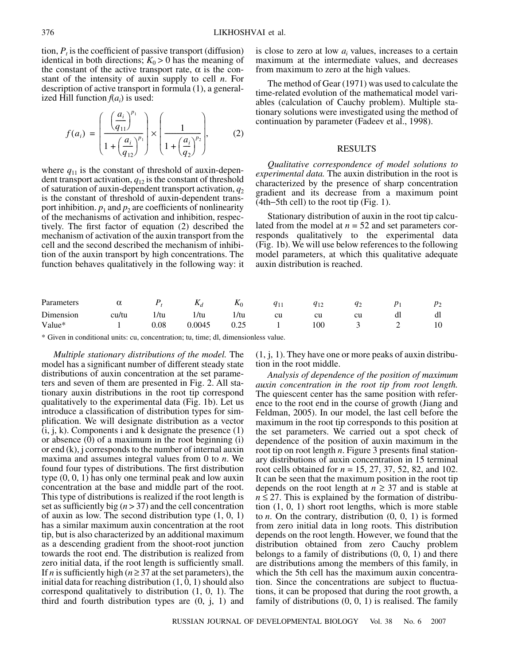tion,  $P_t$  is the coefficient of passive transport (diffusion) identical in both directions;  $K_0 > 0$  has the meaning of the constant of the active transport rate,  $\alpha$  is the constant of the intensity of auxin supply to cell *n*. For description of active transport in formula (1), a generalized Hill function  $f(a_i)$  is used:

$$
f(a_i) = \left(\frac{\left(\frac{a_i}{q_{11}}\right)^{p_1}}{1 + \left(\frac{a_i}{q_{12}}\right)^{p_1}}\right) \times \left(\frac{1}{1 + \left(\frac{a_i}{q_2}\right)^{p_2}}\right),\tag{2}
$$

where  $q_{11}$  is the constant of threshold of auxin-dependent transport activation,  $q_{12}$  is the constant of threshold of saturation of auxin-dependent transport activation,  $q_2$ is the constant of threshold of auxin-dependent transport inhibition.  $p_1$  and  $p_2$  are coefficients of nonlinearity of the mechanisms of activation and inhibition, respectively. The first factor of equation (2) described the mechanism of activation of the auxin transport from the cell and the second described the mechanism of inhibition of the auxin transport by high concentrations. The function behaves qualitatively in the following way: it

is close to zero at low  $a_i$  values, increases to a certain maximum at the intermediate values, and decreases from maximum to zero at the high values.

The method of Gear (1971) was used to calculate the time-related evolution of the mathematical model variables (calculation of Cauchy problem). Multiple stationary solutions were investigated using the method of continuation by parameter (Fadeev et al., 1998).

#### RESULTS

*Qualitative correspondence of model solutions to experimental data.* The auxin distribution in the root is characterized by the presence of sharp concentration gradient and its decrease from a maximum point (4th−5th cell) to the root tip (Fig. 1).

Stationary distribution of auxin in the root tip calculated from the model at  $n = 52$  and set parameters corresponds qualitatively to the experimental data (Fig. 1b). We will use below references to the following model parameters, at which this qualitative adequate auxin distribution is reached.

| Parameters | $\alpha$ |      | $K_d$  | $K_0$ | $q_{11}$ | $q_{12}$ | q <sub>2</sub> |    | $p_2$ |
|------------|----------|------|--------|-------|----------|----------|----------------|----|-------|
| Dimension  | cu/tu    | 1/tu | l/tu   | 1/tu  | cu       | cu       | cu             | dl | dl    |
| Value*     |          | 0.08 | 0.0045 | 0.25  |          | 100      |                | -  | 10    |
|            |          |      |        |       |          |          |                |    |       |

\* Given in conditional units: cu, concentration; tu, time; dl, dimensionless value.

*Multiple stationary distributions of the model.* The model has a significant number of different steady state distributions of auxin concentration at the set parameters and seven of them are presented in Fig. 2. All stationary auxin distributions in the root tip correspond qualitatively to the experimental data (Fig. 1b). Let us introduce a classification of distribution types for simplification. We will designate distribution as a vector  $(i, j, k)$ . Components i and k designate the presence  $(1)$ or absence (0) of a maximum in the root beginning (i) or end (k), j corresponds to the number of internal auxin maxima and assumes integral values from 0 to *n*. We found four types of distributions. The first distribution type (0, 0, 1) has only one terminal peak and low auxin concentration at the base and middle part of the root. This type of distributions is realized if the root length is set as sufficiently big (*n* > 37) and the cell concentration of auxin as low. The second distribution type  $(1, 0, 1)$ has a similar maximum auxin concentration at the root tip, but is also characterized by an additional maximum as a descending gradient from the shoot-root junction towards the root end. The distribution is realized from zero initial data, if the root length is sufficiently small. If *n* is sufficiently high ( $n \geq 37$  at the set parameters), the initial data for reaching distribution (1, 0, 1) should also correspond qualitatively to distribution (1, 0, 1). The third and fourth distribution types are  $(0, j, 1)$  and (1, j, 1). They have one or more peaks of auxin distribution in the root middle.

*Analysis of dependence of the position of maximum auxin concentration in the root tip from root length.* The quiescent center has the same position with reference to the root end in the course of growth (Jiang and Feldman, 2005). In our model, the last cell before the maximum in the root tip corresponds to this position at the set parameters. We carried out a spot check of dependence of the position of auxin maximum in the root tip on root length *n*. Figure 3 presents final stationary distributions of auxin concentration in 15 terminal root cells obtained for *n* = 15, 27, 37, 52, 82, and 102. It can be seen that the maximum position in the root tip depends on the root length at  $n \geq 37$  and is stable at  $n \leq 27$ . This is explained by the formation of distribution (1, 0, 1) short root lengths, which is more stable to *n*. On the contrary, distribution (0, 0, 1) is formed from zero initial data in long roots. This distribution depends on the root length. However, we found that the distribution obtained from zero Cauchy problem belongs to a family of distributions  $(0, 0, 1)$  and there are distributions among the members of this family, in which the 5th cell has the maximum auxin concentration. Since the concentrations are subject to fluctuations, it can be proposed that during the root growth, a family of distributions (0, 0, 1) is realised. The family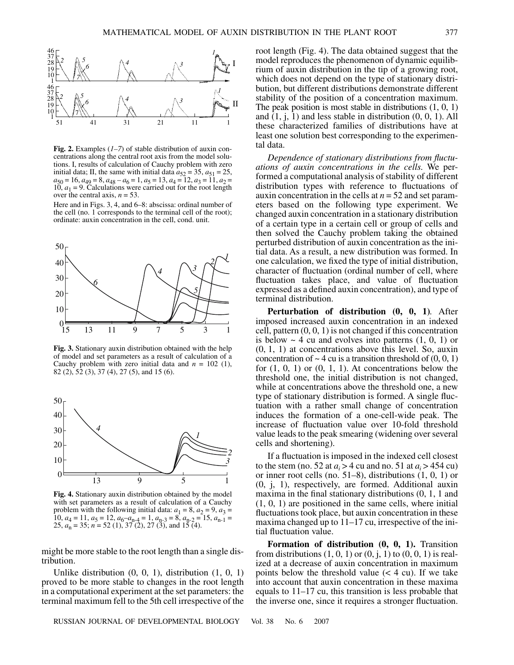

**Fig. 2.** Examples (*1–7*) of stable distribution of auxin concentrations along the central root axis from the model solutions. I, results of calculation of Cauchy problem with zero initial data; II, the same with initial data  $a_{52} = 35$ ,  $a_{51} = 25$ ,  $a_{50} = 16$ ,  $a_{49} = 8$ ,  $a_{48} - a_6 = 1$ ,  $a_5 = 13$ ,  $a_4 = 12$ ,  $a_3 = 11$ ,  $a_2 =$ 10,  $a_1$  = 9. Calculations were carried out for the root length over the central axis,  $n = 53$ .

Here and in Figs. 3, 4, and 6–8: abscissa: ordinal number of the cell (no. 1 corresponds to the terminal cell of the root); ordinate: auxin concentration in the cell, cond. unit.



**Fig. 3.** Stationary auxin distribution obtained with the help of model and set parameters as a result of calculation of a Cauchy problem with zero initial data and  $n = 102$  (1), 82 (2), 52 (3), 37 (4), 27 (5), and 15 (6).



**Fig. 4.** Stationary auxin distribution obtained by the model with set parameters as a result of calculation of a Cauchy problem with the following initial data:  $a_1 = 8$ ,  $a_2 = 9$ ,  $a_3 =$ 10,  $a_4 = 11$ ,  $a_5 = 12$ ,  $a_6 - a_{n-4} = 1$ ,  $a_{n-3} = 8$ ,  $a_{n-2} = 15$ ,  $a_{n-1} =$ 25,  $a_n = 35$ ;  $n = 52$  (1),  $37$  (2),  $27$  (3), and  $15$  (4).

might be more stable to the root length than a single distribution.

Unlike distribution (0, 0, 1), distribution (1, 0, 1) proved to be more stable to changes in the root length in a computational experiment at the set parameters: the terminal maximum fell to the 5th cell irrespective of the root length (Fig. 4). The data obtained suggest that the model reproduces the phenomenon of dynamic equilibrium of auxin distribution in the tip of a growing root, which does not depend on the type of stationary distribution, but different distributions demonstrate different stability of the position of a concentration maximum. The peak position is most stable in distributions (1, 0, 1) and  $(1, j, 1)$  and less stable in distribution  $(0, 0, 1)$ . All these characterized families of distributions have at least one solution best corresponding to the experimental data.

*Dependence of stationary distributions from fluctuations of auxin concentrations in the cells.* We performed a computational analysis of stability of different distribution types with reference to fluctuations of auxin concentration in the cells at  $n = 52$  and set parameters based on the following type experiment. We changed auxin concentration in a stationary distribution of a certain type in a certain cell or group of cells and then solved the Cauchy problem taking the obtained perturbed distribution of auxin concentration as the initial data. As a result, a new distribution was formed. In one calculation, we fixed the type of initial distribution, character of fluctuation (ordinal number of cell, where fluctuation takes place, and value of fluctuation expressed as a defined auxin concentration), and type of terminal distribution.

**Perturbation of distribution (0, 0, 1)***.* After imposed increased auxin concentration in an indexed cell, pattern  $(0, 0, 1)$  is not changed if this concentration is below  $\sim$  4 cu and evolves into patterns  $(1, 0, 1)$  or (0, 1, 1) at concentrations above this level. So, auxin concentration of  $\sim$  4 cu is a transition threshold of  $(0, 0, 1)$ for  $(1, 0, 1)$  or  $(0, 1, 1)$ . At concentrations below the threshold one, the initial distribution is not changed, while at concentrations above the threshold one, a new type of stationary distribution is formed. A single fluctuation with a rather small change of concentration induces the formation of a one-cell-wide peak. The increase of fluctuation value over 10-fold threshold value leads to the peak smearing (widening over several cells and shortening).

If a fluctuation is imposed in the indexed cell closest to the stem (no. 52 at  $a_i > 4$  cu and no. 51 at  $a_i > 454$  cu) or inner root cells (no. 51–8), distributions (1, 0, 1) or (0, j, 1), respectively, are formed. Additional auxin maxima in the final stationary distributions (0, 1, 1 and  $(1, 0, 1)$  are positioned in the same cells, where initial fluctuations took place, but auxin concentration in these maxima changed up to 11–17 cu, irrespective of the initial fluctuation value.

**Formation of distribution (0, 0, 1).** Transition from distributions  $(1, 0, 1)$  or  $(0, j, 1)$  to  $(0, 0, 1)$  is realized at a decrease of auxin concentration in maximum points below the threshold value  $(< 4 \text{ cu})$ . If we take into account that auxin concentration in these maxima equals to 11–17 cu, this transition is less probable that the inverse one, since it requires a stronger fluctuation.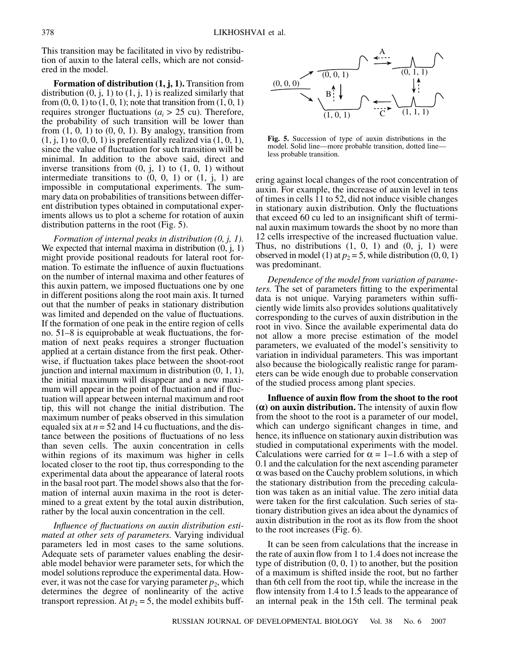This transition may be facilitated in vivo by redistribution of auxin to the lateral cells, which are not considered in the model.

**Formation of distribution (1, j, 1).** Transition from distribution  $(0, j, 1)$  to  $(1, j, 1)$  is realized similarly that from  $(0, 0, 1)$  to  $(1, 0, 1)$ ; note that transition from  $(1, 0, 1)$ requires stronger fluctuations  $(a_i > 25 \text{ cu})$ . Therefore, the probability of such transition will be lower than from  $(1, 0, 1)$  to  $(0, 0, 1)$ . By analogy, transition from  $(1, j, 1)$  to  $(0, 0, 1)$  is preferentially realized via  $(1, 0, 1)$ , since the value of fluctuation for such transition will be minimal. In addition to the above said, direct and inverse transitions from  $(0, j, 1)$  to  $(1, 0, 1)$  without intermediate transitions to  $(0, 0, 1)$  or  $(1, j, 1)$  are impossible in computational experiments. The summary data on probabilities of transitions between different distribution types obtained in computational experiments allows us to plot a scheme for rotation of auxin distribution patterns in the root (Fig. 5).

*Formation of internal peaks in distribution (0, j, 1).* We expected that internal maxima in distribution  $(0, j, 1)$ might provide positional readouts for lateral root formation. To estimate the influence of auxin fluctuations on the number of internal maxima and other features of this auxin pattern, we imposed fluctuations one by one in different positions along the root main axis. It turned out that the number of peaks in stationary distribution was limited and depended on the value of fluctuations. If the formation of one peak in the entire region of cells no. 51–8 is equiprobable at weak fluctuations, the formation of next peaks requires a stronger fluctuation applied at a certain distance from the first peak. Otherwise, if fluctuation takes place between the shoot-root junction and internal maximum in distribution (0, 1, 1), the initial maximum will disappear and a new maximum will appear in the point of fluctuation and if fluctuation will appear between internal maximum and root tip, this will not change the initial distribution. The maximum number of peaks observed in this simulation equaled six at  $n = 52$  and 14 cu fluctuations, and the distance between the positions of fluctuations of no less than seven cells. The auxin concentration in cells within regions of its maximum was higher in cells located closer to the root tip, thus corresponding to the experimental data about the appearance of lateral roots in the basal root part. The model shows also that the formation of internal auxin maxima in the root is determined to a great extent by the total auxin distribution, rather by the local auxin concentration in the cell.

*Influence of fluctuations on auxin distribution estimated at other sets of parameters.* Varying individual parameters led in most cases to the same solutions. Adequate sets of parameter values enabling the desirable model behavior were parameter sets, for which the model solutions reproduce the experimental data. However, it was not the case for varying parameter  $p_2$ , which determines the degree of nonlinearity of the active transport repression. At  $p_2 = 5$ , the model exhibits buff-



**Fig. 5.** Succession of type of auxin distributions in the model. Solid line—more probable transition, dotted line less probable transition.

ering against local changes of the root concentration of auxin. For example, the increase of auxin level in tens of times in cells 11 to 52, did not induce visible changes in stationary auxin distribution. Only the fluctuations that exceed 60 cu led to an insignificant shift of terminal auxin maximum towards the shoot by no more than 12 cells irrespective of the increased fluctuation value. Thus, no distributions  $(1, 0, 1)$  and  $(0, i, 1)$  were observed in model (1) at  $p_2 = 5$ , while distribution (0, 0, 1) was predominant.

*Dependence of the model from variation of parameters.* The set of parameters fitting to the experimental data is not unique. Varying parameters within sufficiently wide limits also provides solutions qualitatively corresponding to the curves of auxin distribution in the root in vivo. Since the available experimental data do not allow a more precise estimation of the model parameters, we evaluated of the model's sensitivity to variation in individual parameters. This was important also because the biologically realistic range for parameters can be wide enough due to probable conservation of the studied process among plant species.

**Influence of auxin flow from the shoot to the root (a) on auxin distribution.** The intensity of auxin flow from the shoot to the root is a parameter of our model, which can undergo significant changes in time, and hence, its influence on stationary auxin distribution was studied in computational experiments with the model. Calculations were carried for  $\alpha = 1$ –1.6 with a step of 0.1 and the calculation for the next ascending parameter  $\alpha$  was based on the Cauchy problem solutions, in which the stationary distribution from the preceding calculation was taken as an initial value. The zero initial data were taken for the first calculation. Such series of stationary distribution gives an idea about the dynamics of auxin distribution in the root as its flow from the shoot to the root increases (Fig. 6).

It can be seen from calculations that the increase in the rate of auxin flow from 1 to 1.4 does not increase the type of distribution  $(0, 0, 1)$  to another, but the position of a maximum is shifted inside the root, but no farther than 6th cell from the root tip, while the increase in the flow intensity from 1.4 to 1.5 leads to the appearance of an internal peak in the 15th cell. The terminal peak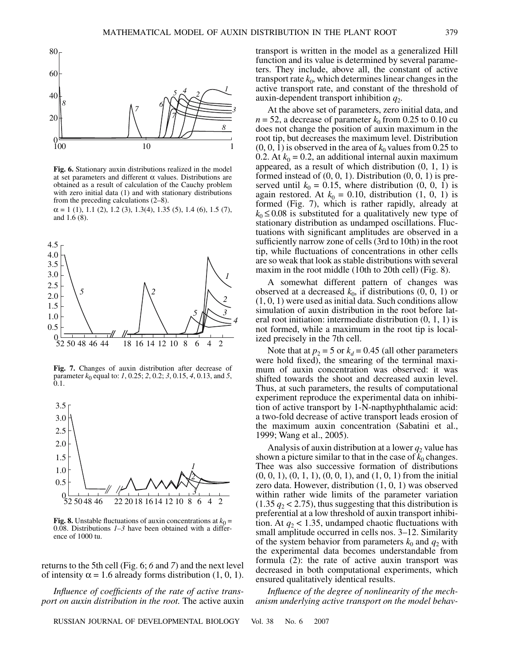

**Fig. 6.** Stationary auxin distributions realized in the model at set parameters and different  $\alpha$  values. Distributions are obtained as a result of calculation of the Cauchy problem with zero initial data (1) and with stationary distributions from the preceding calculations (2–8).

 $\alpha$  = 1 (1), 1.1 (2), 1.2 (3), 1.3(4), 1.35 (5), 1.4 (6), 1.5 (7), and 1.6 (8).



**Fig. 7.** Changes of auxin distribution after decrease of parameter  $k_0$  equal to: *1*, 0.25; 2, 0.2; 3, 0.15, 4, 0.13, and 5,  $0.1.$ 



**Fig. 8.** Unstable fluctuations of auxin concentrations at  $k_0 =$ 0.08. Distributions *1–3* have been obtained with a difference of 1000 tu.

returns to the 5th cell (Fig. 6; *6* and *7*) and the next level of intensity  $\alpha = 1.6$  already forms distribution  $(1, 0, 1)$ .

*Influence of coefficients of the rate of active transport on auxin distribution in the root.* The active auxin

transport is written in the model as a generalized Hill function and its value is determined by several parameters. They include, above all, the constant of active transport rate  $k_0$ , which determines linear changes in the active transport rate, and constant of the threshold of auxin-dependent transport inhibition  $q_2$ .

At the above set of parameters, zero initial data, and  $n = 52$ , a decrease of parameter  $k_0$  from 0.25 to 0.10 cu does not change the position of auxin maximum in the root tip, but decreases the maximum level. Distribution  $(0, 0, 1)$  is observed in the area of  $k_0$  values from 0.25 to 0.2. At  $k_0 = 0.2$ , an additional internal auxin maximum appeared, as a result of which distribution  $(0, 1, 1)$  is formed instead of  $(0, 0, 1)$ . Distribution  $(0, 0, 1)$  is preserved until  $k_0 = 0.15$ , where distribution  $(0, 0, 1)$  is again restored. At  $k_0 = 0.10$ , distribution  $(1, 0, 1)$  is formed (Fig. 7), which is rather rapidly, already at  $k_0 \leq 0.08$  is substituted for a qualitatively new type of stationary distribution as undamped oscillations. Fluctuations with significant amplitudes are observed in a sufficiently narrow zone of cells (3rd to 10th) in the root tip, while fluctuations of concentrations in other cells are so weak that look as stable distributions with several maxim in the root middle (10th to 20th cell) (Fig. 8).

A somewhat different pattern of changes was observed at a decreased  $k_0$ , if distributions  $(0, 0, 1)$  or (1, 0, 1) were used as initial data. Such conditions allow simulation of auxin distribution in the root before lateral root initiation: intermediate distribution (0, 1, 1) is not formed, while a maximum in the root tip is localized precisely in the 7th cell.

Note that at  $p_2 = 5$  or  $k_d = 0.45$  (all other parameters were hold fixed), the smearing of the terminal maximum of auxin concentration was observed: it was shifted towards the shoot and decreased auxin level. Thus, at such parameters, the results of computational experiment reproduce the experimental data on inhibition of active transport by 1-N-napthyphthalamic acid: a two-fold decrease of active transport leads erosion of the maximum auxin concentration (Sabatini et al., 1999; Wang et al., 2005).

Analysis of auxin distribution at a lower  $q_2$  value has shown a picture similar to that in the case of  $k_0$  changes. Thee was also successive formation of distributions  $(0, 0, 1), (0, 1, 1), (0, 0, 1),$  and  $(1, 0, 1)$  from the initial zero data. However, distribution (1, 0, 1) was observed within rather wide limits of the parameter variation  $(1.35 q<sub>2</sub> < 2.75)$ , thus suggesting that this distribution is preferential at a low threshold of auxin transport inhibition. At  $q_2$  < 1.35, undamped chaotic fluctuations with small amplitude occurred in cells nos. 3–12. Similarity of the system behavior from parameters  $k_0$  and  $q_2$  with the experimental data becomes understandable from formula (2): the rate of active auxin transport was decreased in both computational experiments, which ensured qualitatively identical results.

*Influence of the degree of nonlinearity of the mechanism underlying active transport on the model behav-*

RUSSIAN JOURNAL OF DEVELOPMENTAL BIOLOGY Vol. 38 No. 6 2007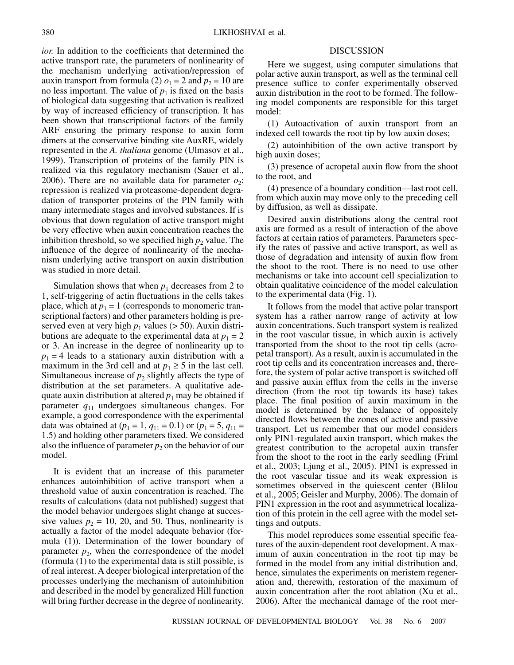*ior.* In addition to the coefficients that determined the active transport rate, the parameters of nonlinearity of the mechanism underlying activation/repression of auxin transport from formula (2)  $o_1 = 2$  and  $p_2 = 10$  are no less important. The value of  $p_1$  is fixed on the basis of biological data suggesting that activation is realized by way of increased efficiency of transcription. It has been shown that transcriptional factors of the family ARF ensuring the primary response to auxin form dimers at the conservative binding site AuxRE, widely represented in the *A. thaliana* genome (Ulmasov et al., 1999). Transcription of proteins of the family PIN is realized via this regulatory mechanism (Sauer et al., 2006). There are no available data for parameter  $o_2$ : repression is realized via proteasome-dependent degradation of transporter proteins of the PIN family with many intermediate stages and involved substances. If is obvious that down regulation of active transport might be very effective when auxin concentration reaches the inhibition threshold, so we specified high  $p_2$  value. The influence of the degree of nonlinearity of the mechanism underlying active transport on auxin distribution was studied in more detail.

Simulation shows that when  $p_1$  decreases from 2 to 1, self-triggering of actin fluctuations in the cells takes place, which at  $p_1 = 1$  (corresponds to monomeric transcriptional factors) and other parameters holding is preserved even at very high  $p_1$  values ( $>$  50). Auxin distributions are adequate to the experimental data at  $p_1 = 2$ or 3. An increase in the degree of nonlinearity up to  $p_1 = 4$  leads to a stationary auxin distribution with a maximum in the 3rd cell and at  $p_1 \geq 5$  in the last cell. Simultaneous increase of  $p_2$  slightly affects the type of distribution at the set parameters. A qualitative adequate auxin distribution at altered  $p_1$  may be obtained if parameter *q*11 undergoes simultaneous changes. For example, a good correspondence with the experimental data was obtained at  $(p_1 = 1, q_{11} = 0.1)$  or  $(p_1 = 5, q_{11} = 1)$ 1.5) and holding other parameters fixed. We considered also the influence of parameter  $p_2$  on the behavior of our model.

It is evident that an increase of this parameter enhances autoinhibition of active transport when a threshold value of auxin concentration is reached. The results of calculations (data not published) suggest that the model behavior undergoes slight change at successive values  $p_2 = 10$ , 20, and 50. Thus, nonlinearity is actually a factor of the model adequate behavior (formula (1)). Determination of the lower boundary of parameter  $p_2$ , when the correspondence of the model (formula (1) to the experimental data is still possible, is of real interest. A deeper biological interpretation of the processes underlying the mechanism of autoinhibition and described in the model by generalized Hill function will bring further decrease in the degree of nonlinearity.

## DISCUSSION

Here we suggest, using computer simulations that polar active auxin transport, as well as the terminal cell presence suffice to confer experimentally observed auxin distribution in the root to be formed. The following model components are responsible for this target model:

(1) Autoactivation of auxin transport from an indexed cell towards the root tip by low auxin doses;

(2) autoinhibition of the own active transport by high auxin doses;

(3) presence of acropetal auxin flow from the shoot to the root, and

(4) presence of a boundary condition—last root cell, from which auxin may move only to the preceding cell by diffusion, as well as dissipate.

Desired auxin distributions along the central root axis are formed as a result of interaction of the above factors at certain ratios of parameters. Parameters specify the rates of passive and active transport, as well as those of degradation and intensity of auxin flow from the shoot to the root. There is no need to use other mechanisms or take into account cell specialization to obtain qualitative coincidence of the model calculation to the experimental data (Fig. 1).

It follows from the model that active polar transport system has a rather narrow range of activity at low auxin concentrations. Such transport system is realized in the root vascular tissue, in which auxin is actively transported from the shoot to the root tip cells (acropetal transport). As a result, auxin is accumulated in the root tip cells and its concentration increases and, therefore, the system of polar active transport is switched off and passive auxin efflux from the cells in the inverse direction (from the root tip towards its base) takes place. The final position of auxin maximum in the model is determined by the balance of oppositely directed flows between the zones of active and passive transport. Let us remember that our model considers only PIN1-regulated auxin transport, which makes the greatest contribution to the acropetal auxin transfer from the shoot to the root in the early seedling (Friml et al., 2003; Ljung et al., 2005). PIN1 is expressed in the root vascular tissue and its weak expression is sometimes observed in the quiescent center (Blilou et al., 2005; Geisler and Murphy, 2006). The domain of PIN1 expression in the root and asymmetrical localization of this protein in the cell agree with the model settings and outputs.

This model reproduces some essential specific features of the auxin-dependent root development. A maximum of auxin concentration in the root tip may be formed in the model from any initial distribution and, hence, simulates the experiments on meristem regeneration and, therewith, restoration of the maximum of auxin concentration after the root ablation (Xu et al., 2006). After the mechanical damage of the root mer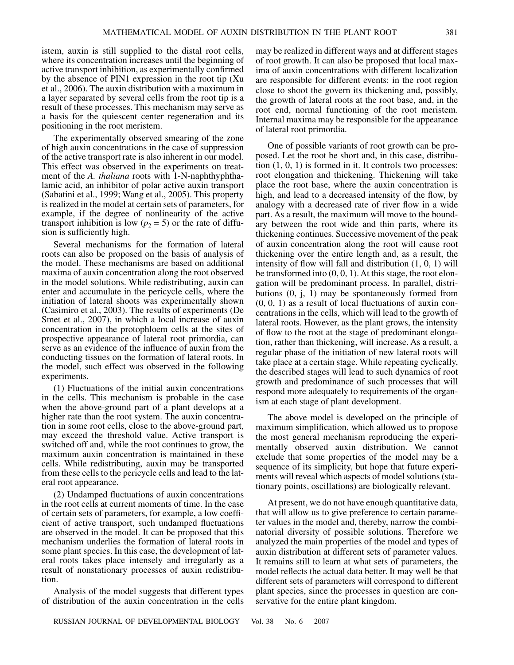istem, auxin is still supplied to the distal root cells, where its concentration increases until the beginning of active transport inhibition, as experimentally confirmed by the absence of PIN1 expression in the root tip (Xu et al., 2006). The auxin distribution with a maximum in a layer separated by several cells from the root tip is a result of these processes. This mechanism may serve as a basis for the quiescent center regeneration and its positioning in the root meristem.

The experimentally observed smearing of the zone of high auxin concentrations in the case of suppression of the active transport rate is also inherent in our model. This effect was observed in the experiments on treatment of the *A. thaliana* roots with 1-N-naphthyphthalamic acid, an inhibitor of polar active auxin transport (Sabatini et al., 1999; Wang et al., 2005). This property is realized in the model at certain sets of parameters, for example, if the degree of nonlinearity of the active transport inhibition is low  $(p_2 = 5)$  or the rate of diffusion is sufficiently high.

Several mechanisms for the formation of lateral roots can also be proposed on the basis of analysis of the model. These mechanisms are based on additional maxima of auxin concentration along the root observed in the model solutions. While redistributing, auxin can enter and accumulate in the pericycle cells, where the initiation of lateral shoots was experimentally shown (Casimiro et al., 2003). The results of experiments (De Smet et al., 2007), in which a local increase of auxin concentration in the protophloem cells at the sites of prospective appearance of lateral root primordia, can serve as an evidence of the influence of auxin from the conducting tissues on the formation of lateral roots. In the model, such effect was observed in the following experiments.

(1) Fluctuations of the initial auxin concentrations in the cells. This mechanism is probable in the case when the above-ground part of a plant develops at a higher rate than the root system. The auxin concentration in some root cells, close to the above-ground part, may exceed the threshold value. Active transport is switched off and, while the root continues to grow, the maximum auxin concentration is maintained in these cells. While redistributing, auxin may be transported from these cells to the pericycle cells and lead to the lateral root appearance.

(2) Undamped fluctuations of auxin concentrations in the root cells at current moments of time. In the case of certain sets of parameters, for example, a low coefficient of active transport, such undamped fluctuations are observed in the model. It can be proposed that this mechanism underlies the formation of lateral roots in some plant species. In this case, the development of lateral roots takes place intensely and irregularly as a result of nonstationary processes of auxin redistribution.

Analysis of the model suggests that different types of distribution of the auxin concentration in the cells

may be realized in different ways and at different stages of root growth. It can also be proposed that local maxima of auxin concentrations with different localization are responsible for different events: in the root region close to shoot the govern its thickening and, possibly, the growth of lateral roots at the root base, and, in the root end, normal functioning of the root meristem. Internal maxima may be responsible for the appearance of lateral root primordia.

One of possible variants of root growth can be proposed. Let the root be short and, in this case, distribution (1, 0, 1) is formed in it. It controls two processes: root elongation and thickening. Thickening will take place the root base, where the auxin concentration is high, and lead to a decreased intensity of the flow, by analogy with a decreased rate of river flow in a wide part. As a result, the maximum will move to the boundary between the root wide and thin parts, where its thickening continues. Successive movement of the peak of auxin concentration along the root will cause root thickening over the entire length and, as a result, the intensity of flow will fall and distribution (1, 0, 1) will be transformed into  $(0, 0, 1)$ . At this stage, the root elongation will be predominant process. In parallel, distributions (0, j, 1) may be spontaneously formed from  $(0, 0, 1)$  as a result of local fluctuations of auxin concentrations in the cells, which will lead to the growth of lateral roots. However, as the plant grows, the intensity of flow to the root at the stage of predominant elongation, rather than thickening, will increase. As a result, a regular phase of the initiation of new lateral roots will take place at a certain stage. While repeating cyclically, the described stages will lead to such dynamics of root growth and predominance of such processes that will respond more adequately to requirements of the organism at each stage of plant development.

The above model is developed on the principle of maximum simplification, which allowed us to propose the most general mechanism reproducing the experimentally observed auxin distribution. We cannot exclude that some properties of the model may be a sequence of its simplicity, but hope that future experiments will reveal which aspects of model solutions (stationary points, oscillations) are biologically relevant.

At present, we do not have enough quantitative data, that will allow us to give preference to certain parameter values in the model and, thereby, narrow the combinatorial diversity of possible solutions. Therefore we analyzed the main properties of the model and types of auxin distribution at different sets of parameter values. It remains still to learn at what sets of parameters, the model reflects the actual data better. It may well be that different sets of parameters will correspond to different plant species, since the processes in question are conservative for the entire plant kingdom.